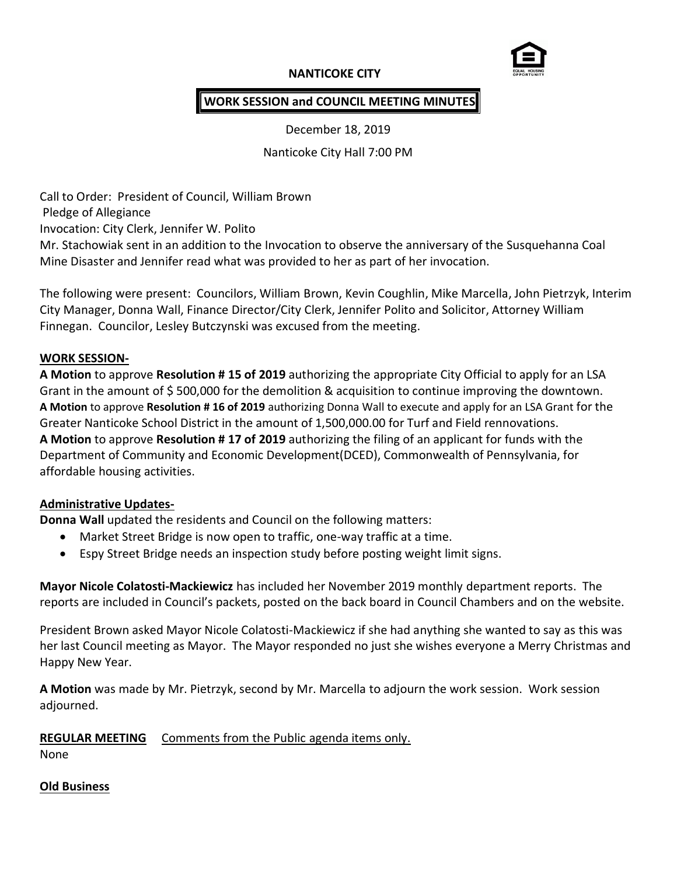# **NANTICOKE CITY**



# **WORK SESSION and COUNCIL MEETING MINUTES**

December 18, 2019

Nanticoke City Hall 7:00 PM

Call to Order: President of Council, William Brown Pledge of Allegiance Invocation: City Clerk, Jennifer W. Polito Mr. Stachowiak sent in an addition to the Invocation to observe the anniversary of the Susquehanna Coal Mine Disaster and Jennifer read what was provided to her as part of her invocation.

The following were present: Councilors, William Brown, Kevin Coughlin, Mike Marcella, John Pietrzyk, Interim City Manager, Donna Wall, Finance Director/City Clerk, Jennifer Polito and Solicitor, Attorney William Finnegan. Councilor, Lesley Butczynski was excused from the meeting.

### **WORK SESSION-**

**A Motion** to approve **Resolution # 15 of 2019** authorizing the appropriate City Official to apply for an LSA Grant in the amount of \$ 500,000 for the demolition & acquisition to continue improving the downtown. **A Motion** to approve **Resolution # 16 of 2019** authorizing Donna Wall to execute and apply for an LSA Grant for the Greater Nanticoke School District in the amount of 1,500,000.00 for Turf and Field rennovations. **A Motion** to approve **Resolution # 17 of 2019** authorizing the filing of an applicant for funds with the Department of Community and Economic Development(DCED), Commonwealth of Pennsylvania, for affordable housing activities.

### **Administrative Updates-**

**Donna Wall** updated the residents and Council on the following matters:

- Market Street Bridge is now open to traffic, one-way traffic at a time.
- Espy Street Bridge needs an inspection study before posting weight limit signs.

**Mayor Nicole Colatosti-Mackiewicz** has included her November 2019 monthly department reports. The reports are included in Council's packets, posted on the back board in Council Chambers and on the website.

President Brown asked Mayor Nicole Colatosti-Mackiewicz if she had anything she wanted to say as this was her last Council meeting as Mayor. The Mayor responded no just she wishes everyone a Merry Christmas and Happy New Year.

**A Motion** was made by Mr. Pietrzyk, second by Mr. Marcella to adjourn the work session. Work session adjourned.

## **REGULAR MEETING** Comments from the Public agenda items only.

None

## **Old Business**